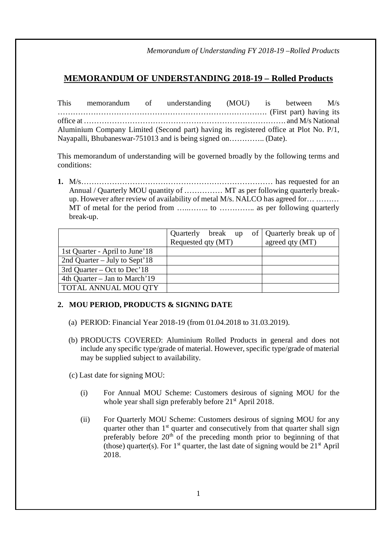*Memorandum of Understanding FY 2018-19 –Rolled Products*

## **MEMORANDUM OF UNDERSTANDING 2018-19 – Rolled Products**

This memorandum of understanding (MOU) is between M/s ………………………………………………………………………. (First part) having its office at ……………………………………………………………………. and M/s National Aluminium Company Limited (Second part) having its registered office at Plot No. P/1, Nayapalli, Bhubaneswar-751013 and is being signed on………….. (Date).

This memorandum of understanding will be governed broadly by the following terms and conditions:

**1.** M/s………………………………………………………………… has requested for an Annual / Quarterly MOU quantity of …………… MT as per following quarterly breakup. However after review of availability of metal M/s. NALCO has agreed for… ……… MT of metal for the period from …..…….. to ………….. as per following quarterly break-up.

|                                |                    |  | Quarterly break up of Quarterly break up of |
|--------------------------------|--------------------|--|---------------------------------------------|
|                                | Requested qty (MT) |  | agreed qty (MT)                             |
| 1st Quarter - April to June'18 |                    |  |                                             |
| 2nd Quarter – July to Sept'18  |                    |  |                                             |
| 3rd Quarter – Oct to Dec'18    |                    |  |                                             |
| 4th Quarter – Jan to March'19  |                    |  |                                             |
| <b>TOTAL ANNUAL MOU QTY</b>    |                    |  |                                             |

## **2. MOU PERIOD, PRODUCTS & SIGNING DATE**

- (a) PERIOD: Financial Year 2018-19 (from 01.04.2018 to 31.03.2019).
- (b) PRODUCTS COVERED: Aluminium Rolled Products in general and does not include any specific type/grade of material. However, specific type/grade of material may be supplied subject to availability.

(c) Last date for signing MOU:

- (i) For Annual MOU Scheme: Customers desirous of signing MOU for the whole year shall sign preferably before  $21<sup>st</sup>$  April 2018.
- (ii) For Quarterly MOU Scheme: Customers desirous of signing MOU for any quarter other than 1<sup>st</sup> quarter and consecutively from that quarter shall sign preferably before 20<sup>th</sup> of the preceding month prior to beginning of that (those) quarter(s). For  $1<sup>st</sup>$  quarter, the last date of signing would be  $21<sup>st</sup>$  April 2018.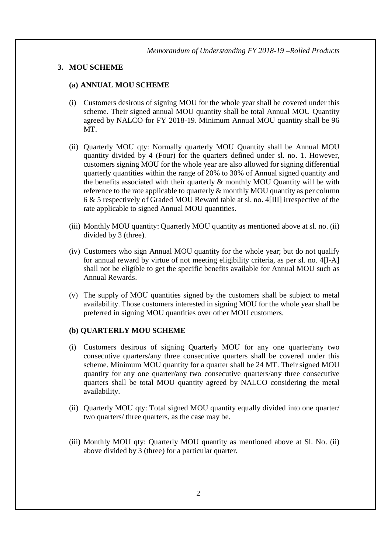#### **3. MOU SCHEME**

#### **(a) ANNUAL MOU SCHEME**

- (i) Customers desirous of signing MOU for the whole year shall be covered under this scheme. Their signed annual MOU quantity shall be total Annual MOU Quantity agreed by NALCO for FY 2018-19. Minimum Annual MOU quantity shall be 96 MT.
- (ii) Quarterly MOU qty: Normally quarterly MOU Quantity shall be Annual MOU quantity divided by 4 (Four) for the quarters defined under sl. no. 1. However, customers signing MOU for the whole year are also allowed for signing differential quarterly quantities within the range of 20% to 30% of Annual signed quantity and the benefits associated with their quarterly & monthly MOU Quantity will be with reference to the rate applicable to quarterly  $\&$  monthly MOU quantity as per column 6 & 5 respectively of Graded MOU Reward table at sl. no. 4[III] irrespective of the rate applicable to signed Annual MOU quantities.
- (iii) Monthly MOU quantity: Quarterly MOU quantity as mentioned above at sl. no. (ii) divided by 3 (three).
- (iv) Customers who sign Annual MOU quantity for the whole year; but do not qualify for annual reward by virtue of not meeting eligibility criteria, as per sl. no. 4[I-A] shall not be eligible to get the specific benefits available for Annual MOU such as Annual Rewards.
- (v) The supply of MOU quantities signed by the customers shall be subject to metal availability. Those customers interested in signing MOU for the whole year shall be preferred in signing MOU quantities over other MOU customers.

#### **(b) QUARTERLY MOU SCHEME**

- (i) Customers desirous of signing Quarterly MOU for any one quarter/any two consecutive quarters/any three consecutive quarters shall be covered under this scheme. Minimum MOU quantity for a quarter shall be 24 MT. Their signed MOU quantity for any one quarter/any two consecutive quarters/any three consecutive quarters shall be total MOU quantity agreed by NALCO considering the metal availability.
- (ii) Quarterly MOU qty: Total signed MOU quantity equally divided into one quarter/ two quarters/ three quarters, as the case may be.
- (iii) Monthly MOU qty: Quarterly MOU quantity as mentioned above at Sl. No. (ii) above divided by 3 (three) for a particular quarter.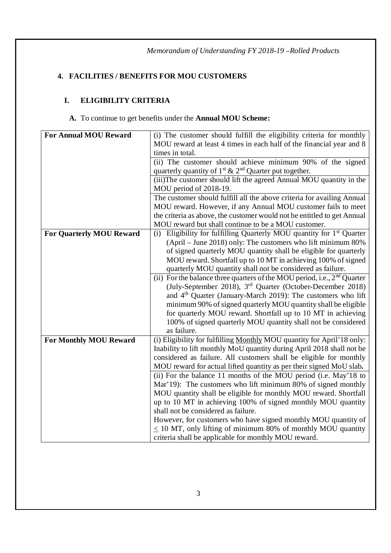# **4. FACILITIES / BENEFITS FOR MOU CUSTOMERS**

# **I. ELIGIBILITY CRITERIA**

## **A.** To continue to get benefits under the **Annual MOU Scheme:**

| <b>For Annual MOU Reward</b>    | (i) The customer should fulfill the eligibility criteria for monthly       |  |  |  |
|---------------------------------|----------------------------------------------------------------------------|--|--|--|
|                                 | MOU reward at least 4 times in each half of the financial year and 8       |  |  |  |
|                                 | times in total.                                                            |  |  |  |
|                                 | (ii) The customer should achieve minimum 90% of the signed                 |  |  |  |
|                                 | quarterly quantity of $1^{st}$ & $2^{nd}$ Quarter put together.            |  |  |  |
|                                 | (iii) The customer should lift the agreed Annual MOU quantity in the       |  |  |  |
|                                 | MOU period of 2018-19.                                                     |  |  |  |
|                                 | The customer should fulfill all the above criteria for availing Annual     |  |  |  |
|                                 | MOU reward. However, if any Annual MOU customer fails to meet              |  |  |  |
|                                 | the criteria as above, the customer would not be entitled to get Annual    |  |  |  |
|                                 | MOU reward but shall continue to be a MOU customer.                        |  |  |  |
| <b>For Quarterly MOU Reward</b> | (i) Eligibility for fulfilling Quarterly MOU quantity for $1st$ Quarter    |  |  |  |
|                                 | $(ApriI - June 2018)$ only: The customers who lift minimum 80%             |  |  |  |
|                                 | of signed quarterly MOU quantity shall be eligible for quarterly           |  |  |  |
|                                 | MOU reward. Shortfall up to 10 MT in achieving 100% of signed              |  |  |  |
|                                 | quarterly MOU quantity shall not be considered as failure.                 |  |  |  |
|                                 | (ii) For the balance three quarters of the MOU period, i.e., $2nd$ Quarter |  |  |  |
|                                 | (July-September 2018), 3 <sup>rd</sup> Quarter (October-December 2018)     |  |  |  |
|                                 | and 4 <sup>th</sup> Quarter (January-March 2019): The customers who lift   |  |  |  |
|                                 | minimum 90% of signed quarterly MOU quantity shall be eligible             |  |  |  |
|                                 | for quarterly MOU reward. Shortfall up to 10 MT in achieving               |  |  |  |
|                                 | 100% of signed quarterly MOU quantity shall not be considered              |  |  |  |
|                                 | as failure.                                                                |  |  |  |
| <b>For Monthly MOU Reward</b>   | (i) Eligibility for fulfilling Monthly MOU quantity for April'18 only:     |  |  |  |
|                                 | Inability to lift monthly MoU quantity during April 2018 shall not be      |  |  |  |
|                                 | considered as failure. All customers shall be eligible for monthly         |  |  |  |
|                                 | MOU reward for actual lifted quantity as per their signed MoU slab.        |  |  |  |
|                                 | (ii) For the balance 11 months of the MOU period (i.e. May'18 to           |  |  |  |
|                                 | Mar'19): The customers who lift minimum 80% of signed monthly              |  |  |  |
|                                 | MOU quantity shall be eligible for monthly MOU reward. Shortfall           |  |  |  |
|                                 | up to 10 MT in achieving 100% of signed monthly MOU quantity               |  |  |  |
|                                 | shall not be considered as failure.                                        |  |  |  |
|                                 | However, for customers who have signed monthly MOU quantity of             |  |  |  |
|                                 | $\leq$ 10 MT, only lifting of minimum 80% of monthly MOU quantity          |  |  |  |
|                                 | criteria shall be applicable for monthly MOU reward.                       |  |  |  |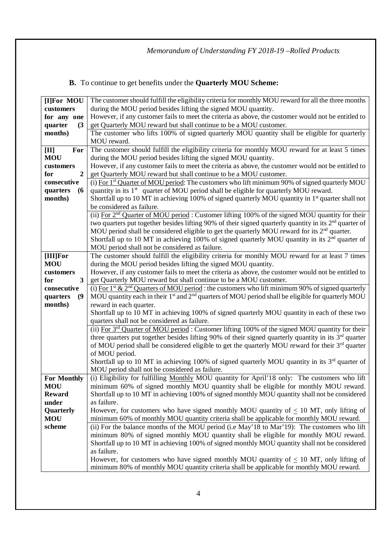# **B.** To continue to get benefits under the **Quarterly MOU Scheme:**

| [I]For MOU                        | The customer should fulfill the eligibility criteria for monthly MOU reward for all the three months                      |  |  |  |
|-----------------------------------|---------------------------------------------------------------------------------------------------------------------------|--|--|--|
| customers                         | during the MOU period besides lifting the signed MOU quantity.                                                            |  |  |  |
| for any one                       | However, if any customer fails to meet the criteria as above, the customer would not be entitled to                       |  |  |  |
| quarter<br>(3)                    | get Quarterly MOU reward but shall continue to be a MOU customer.                                                         |  |  |  |
| months)                           | The customer who lifts 100% of signed quarterly MOU quantity shall be eligible for quarterly                              |  |  |  |
|                                   | MOU reward.                                                                                                               |  |  |  |
| For<br>$[{\rm II}]$               | The customer should fulfill the eligibility criteria for monthly MOU reward for at least 5 times                          |  |  |  |
| <b>MOU</b>                        | during the MOU period besides lifting the signed MOU quantity.                                                            |  |  |  |
| customers                         | However, if any customer fails to meet the criteria as above, the customer would not be entitled to                       |  |  |  |
| $\overline{2}$<br>for             | get Quarterly MOU reward but shall continue to be a MOU customer.                                                         |  |  |  |
| consecutive                       | (i) For 1 <sup>st</sup> Quarter of MOU period: The customers who lift minimum 90% of signed quarterly MOU                 |  |  |  |
| quarters<br>(6)                   | quantity in its 1 <sup>st</sup> quarter of MOU period shall be eligible for quarterly MOU reward.                         |  |  |  |
| months)                           | Shortfall up to 10 MT in achieving 100% of signed quarterly MOU quantity in $1st$ quarter shall not                       |  |  |  |
|                                   | be considered as failure.                                                                                                 |  |  |  |
|                                   | (ii) For 2 <sup>nd</sup> Quarter of MOU period: Customer lifting 100% of the signed MOU quantity for their                |  |  |  |
|                                   | two quarters put together besides lifting 90% of their signed quarterly quantity in its $2nd$ quarter of                  |  |  |  |
|                                   | MOU period shall be considered eligible to get the quarterly MOU reward for its $2nd$ quarter.                            |  |  |  |
|                                   | Shortfall up to 10 MT in achieving 100% of signed quarterly MOU quantity in its $2nd$ quarter of                          |  |  |  |
|                                   | MOU period shall not be considered as failure.                                                                            |  |  |  |
| [III]For                          | The customer should fulfill the eligibility criteria for monthly MOU reward for at least 7 times                          |  |  |  |
| <b>MOU</b>                        | during the MOU period besides lifting the signed MOU quantity.                                                            |  |  |  |
| customers                         | However, if any customer fails to meet the criteria as above, the customer would not be entitled to                       |  |  |  |
| $\overline{\mathbf{3}}$<br>for    | get Quarterly MOU reward but shall continue to be a MOU customer.                                                         |  |  |  |
| consecutive                       | (i) For 1 <sup>st</sup> & 2 <sup>nd</sup> Quarters of MOU period: the customers who lift minimum 90% of signed quarterly  |  |  |  |
| $\boldsymbol{\theta}$<br>quarters | MOU quantity each in their 1 <sup>st</sup> and 2 <sup>nd</sup> quarters of MOU period shall be eligible for quarterly MOU |  |  |  |
| months)                           | reward in each quarter.                                                                                                   |  |  |  |
|                                   | Shortfall up to 10 MT in achieving 100% of signed quarterly MOU quantity in each of these two                             |  |  |  |
|                                   | quarters shall not be considered as failure.                                                                              |  |  |  |
|                                   | (ii) For $3rd$ Quarter of MOU period: Customer lifting 100% of the signed MOU quantity for their                          |  |  |  |
|                                   | three quarters put together besides lifting 90% of their signed quarterly quantity in its $3rd$ quarter                   |  |  |  |
|                                   | of MOU period shall be considered eligible to get the quarterly MOU reward for their 3 <sup>rd</sup> quarter              |  |  |  |
|                                   | of MOU period.                                                                                                            |  |  |  |
|                                   | Shortfall up to 10 MT in achieving 100% of signed quarterly MOU quantity in its $3rd$ quarter of                          |  |  |  |
|                                   | MOU period shall not be considered as failure.                                                                            |  |  |  |
| <b>For Monthly</b>                | (i) Eligibility for fulfilling Monthly MOU quantity for April'18 only: The customers who lift                             |  |  |  |
| <b>MOU</b>                        | minimum 60% of signed monthly MOU quantity shall be eligible for monthly MOU reward.                                      |  |  |  |
| <b>Reward</b>                     | Shortfall up to 10 MT in achieving 100% of signed monthly MOU quantity shall not be considered                            |  |  |  |
| under                             | as failure.                                                                                                               |  |  |  |
| Quarterly                         | However, for customers who have signed monthly MOU quantity of $\leq 10$ MT, only lifting of                              |  |  |  |
| <b>MOU</b>                        | minimum 60% of monthly MOU quantity criteria shall be applicable for monthly MOU reward.                                  |  |  |  |
| scheme                            | (ii) For the balance months of the MOU period (i.e May'18 to Mar'19): The customers who lift                              |  |  |  |
|                                   | minimum 80% of signed monthly MOU quantity shall be eligible for monthly MOU reward.                                      |  |  |  |
|                                   | Shortfall up to 10 MT in achieving 100% of signed monthly MOU quantity shall not be considered                            |  |  |  |
|                                   | as failure.                                                                                                               |  |  |  |
|                                   | However, for customers who have signed monthly MOU quantity of $< 10$ MT, only lifting of                                 |  |  |  |
|                                   | minimum 80% of monthly MOU quantity criteria shall be applicable for monthly MOU reward.                                  |  |  |  |
|                                   |                                                                                                                           |  |  |  |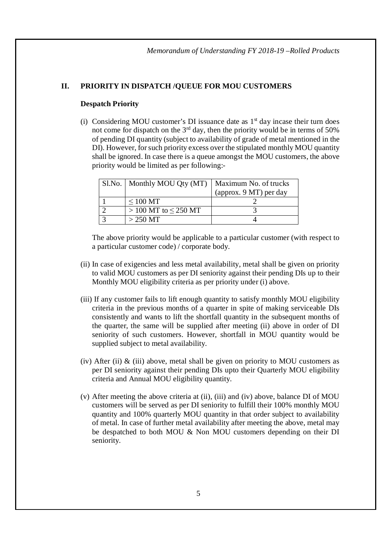#### **II. PRIORITY IN DISPATCH /QUEUE FOR MOU CUSTOMERS**

#### **Despatch Priority**

(i) Considering MOU customer's DI issuance date as  $1<sup>st</sup>$  day incase their turn does not come for dispatch on the  $3<sup>rd</sup>$  day, then the priority would be in terms of 50% of pending DI quantity (subject to availability of grade of metal mentioned in the DI). However, for such priority excess over the stipulated monthly MOU quantity shall be ignored. In case there is a queue amongst the MOU customers, the above priority would be limited as per following:-

| Sl.No.   Monthly MOU Qty (MT) | Maximum No. of trucks  |
|-------------------------------|------------------------|
|                               | (approx. 9 MT) per day |
| $\leq 100$ MT                 |                        |
| $> 100$ MT to $\leq$ 250 MT   |                        |
| $>$ 250 MT                    |                        |

The above priority would be applicable to a particular customer (with respect to a particular customer code) / corporate body.

- (ii) In case of exigencies and less metal availability, metal shall be given on priority to valid MOU customers as per DI seniority against their pending DIs up to their Monthly MOU eligibility criteria as per priority under (i) above.
- (iii) If any customer fails to lift enough quantity to satisfy monthly MOU eligibility criteria in the previous months of a quarter in spite of making serviceable DIs consistently and wants to lift the shortfall quantity in the subsequent months of the quarter, the same will be supplied after meeting (ii) above in order of DI seniority of such customers. However, shortfall in MOU quantity would be supplied subject to metal availability.
- (iv) After (ii)  $\&$  (iii) above, metal shall be given on priority to MOU customers as per DI seniority against their pending DIs upto their Quarterly MOU eligibility criteria and Annual MOU eligibility quantity.
- (v) After meeting the above criteria at (ii), (iii) and (iv) above, balance DI of MOU customers will be served as per DI seniority to fulfill their 100% monthly MOU quantity and 100% quarterly MOU quantity in that order subject to availability of metal. In case of further metal availability after meeting the above, metal may be despatched to both MOU & Non MOU customers depending on their DI seniority.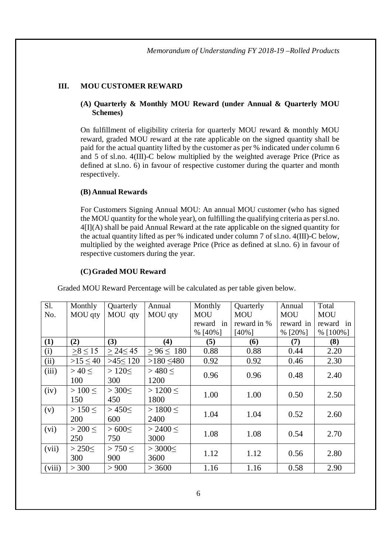## **III. MOU CUSTOMER REWARD**

## **(A) Quarterly & Monthly MOU Reward (under Annual & Quarterly MOU Schemes)**

On fulfillment of eligibility criteria for quarterly MOU reward & monthly MOU reward, graded MOU reward at the rate applicable on the signed quantity shall be paid for the actual quantity lifted by the customer as per % indicated under column 6 and 5 of sl.no. 4(III)-C below multiplied by the weighted average Price (Price as defined at sl.no. 6) in favour of respective customer during the quarter and month respectively.

## **(B) Annual Rewards**

For Customers Signing Annual MOU: An annual MOU customer (who has signed the MOU quantity for the whole year), on fulfilling the qualifying criteria as per sl.no.  $4\text{H}(A)$  shall be paid Annual Reward at the rate applicable on the signed quantity for the actual quantity lifted as per % indicated under column 7 of sl.no. 4(III)-C below, multiplied by the weighted average Price (Price as defined at sl.no. 6) in favour of respective customers during the year.

## **(C)Graded MOU Reward**

| S1.    | Monthly       | Quarterly     | Annual          | Monthly      | Quarterly   | Annual     | Total       |
|--------|---------------|---------------|-----------------|--------------|-------------|------------|-------------|
| No.    | MOU qty       | MOU qty       | MOU qty         | <b>MOU</b>   | <b>MOU</b>  | <b>MOU</b> | <b>MOU</b>  |
|        |               |               |                 | reward<br>in | reward in % | reward in  | reward in   |
|        |               |               |                 | $% [40\%]$   | $[40\%]$    | $%$ [20%]  | % $[100\%]$ |
| (1)    | (2)           | (3)           | (4)             | (5)          | (6)         | (7)        | (8)         |
| (i)    | $>8 \le 15$   | $> 24 \le 45$ | $> 96 \le 180$  | 0.88         | 0.88        | 0.44       | 2.20        |
| (ii)   | $>15 \leq 40$ | $>45 \le 120$ | $>180 \leq 480$ | 0.92         | 0.92        | 0.46       | 2.30        |
| (iii)  | $>40 \leq$    | $>120 \le$    | >480<           | 0.96         | 0.96        | 0.48       | 2.40        |
|        | 100           | 300           | 1200            |              |             |            |             |
| (iv)   | $>100 \leq$   | $>300\le$     | $>1200 \leq$    | 1.00         | 1.00        | 0.50       | 2.50        |
|        | 150           | 450           | 1800            |              |             |            |             |
| (v)    | $>150 \leq$   | >450<         | $>1800 \leq$    |              |             | 0.52       |             |
|        | 200           | 600           | 2400            | 1.04         | 1.04        |            | 2.60        |
| (vi)   | > 200 <       | >600<         | > 2400 <        |              |             | 0.54       |             |
|        | 250           | 750           | 3000            | 1.08         | 1.08        |            | 2.70        |
| (vii)  | $>250\le$     | > 750 <       | $>3000 \le$     |              |             |            |             |
|        | 300           | 900           | 3600            | 1.12         | 1.12        | 0.56       | 2.80        |
| (viii) | > 300         | > 900         | > 3600          | 1.16         | 1.16        | 0.58       | 2.90        |

Graded MOU Reward Percentage will be calculated as per table given below.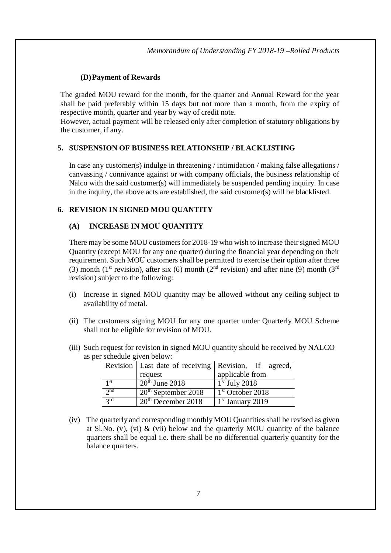## **(D)Payment of Rewards**

The graded MOU reward for the month, for the quarter and Annual Reward for the year shall be paid preferably within 15 days but not more than a month, from the expiry of respective month, quarter and year by way of credit note.

However, actual payment will be released only after completion of statutory obligations by the customer, if any.

## **5. SUSPENSION OF BUSINESS RELATIONSHIP / BLACKLISTING**

In case any customer(s) indulge in threatening / intimidation / making false allegations / canvassing / connivance against or with company officials, the business relationship of Nalco with the said customer(s) will immediately be suspended pending inquiry. In case in the inquiry, the above acts are established, the said customer(s) will be blacklisted.

#### **6. REVISION IN SIGNED MOU QUANTITY**

#### **(A) INCREASE IN MOU QUANTITY**

There may be some MOU customers for 2018-19 who wish to increase their signed MOU Quantity (except MOU for any one quarter) during the financial year depending on their requirement. Such MOU customers shall be permitted to exercise their option after three (3) month (1<sup>st</sup> revision), after six (6) month (2<sup>nd</sup> revision) and after nine (9) month (3<sup>rd</sup> revision) subject to the following:

- (i) Increase in signed MOU quantity may be allowed without any ceiling subject to availability of metal.
- (ii) The customers signing MOU for any one quarter under Quarterly MOU Scheme shall not be eligible for revision of MOU.
- (iii) Such request for revision in signed MOU quantity should be received by NALCO as per schedule given below:

|                   |                                          | Revision   Last date of receiving   Revision, if agreed, |
|-------------------|------------------------------------------|----------------------------------------------------------|
|                   | request                                  | applicable from                                          |
| $1$ st            | $20th$ June 2018                         | $1st$ July 2018                                          |
| $\gamma$ nd       | $\sqrt{20}$ <sup>th</sup> September 2018 | $1st$ October 2018                                       |
| $\overline{3}$ rd | $20th$ December 2018                     | $1st$ January 2019                                       |

(iv) The quarterly and corresponding monthly MOU Quantities shall be revised as given at Sl.No. (v), (vi)  $\&$  (vii) below and the quarterly MOU quantity of the balance quarters shall be equal i.e. there shall be no differential quarterly quantity for the balance quarters.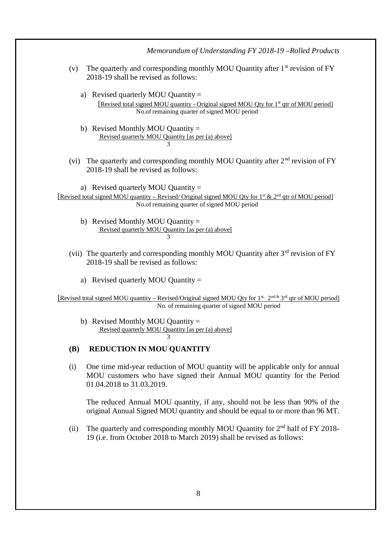| Memorandum of Understanding FY 2018-19-Rolled Products                                                                                                                                                               |
|----------------------------------------------------------------------------------------------------------------------------------------------------------------------------------------------------------------------|
| The quarterly and corresponding monthly MOU Quantity after 1 <sup>st</sup> revision of FY<br>(v)<br>2018-19 shall be revised as follows:                                                                             |
| a) Revised quarterly MOU Quantity $=$<br>[Revised total signed MOU quantity - Original signed MOU Qty for 1 <sup>st</sup> qtr of MOU period]<br>No.of remaining quarter of signed MOU period                         |
| b) Revised Monthly MOU Quantity $=$<br>Revised quarterly MOU Quantity [as per (a) above]<br>3                                                                                                                        |
| (vi) The quarterly and corresponding monthly MOU Quantity after 2 <sup>nd</sup> revision of FY<br>2018-19 shall be revised as follows:                                                                               |
| a) Revised quarterly MOU Quantity =<br>[Revised total signed MOU quantity – Revised/Original signed MOU Qty for 1 <sup>st</sup> & 2 <sup>nd</sup> qtr of MOU period]<br>No.of remaining quarter of signed MOU period |
| b) Revised Monthly MOU Quantity $=$<br>Revised quarterly MOU Quantity [as per (a) above]<br>3                                                                                                                        |
| (vii) The quarterly and corresponding monthly MOU Quantity after $3rd$ revision of FY<br>2018-19 shall be revised as follows:                                                                                        |
| a) Revised quarterly MOU Quantity $=$                                                                                                                                                                                |
| [Revised total signed MOU quantity – Revised/Original signed MOU Qty for 1 <sup>st, 2nd &amp;</sup> 3 <sup>rd</sup> qtr of MOU period]<br>No. of remaining quarter of signed MOU period                              |
| b) Revised Monthly MOU Quantity $=$<br>Revised quarterly MOU Quantity [as per (a) above]                                                                                                                             |
| <b>REDUCTION IN MOU QUANTITY</b><br><b>(B)</b>                                                                                                                                                                       |
| One time mid-year reduction of MOU quantity will be applicable only for annual<br>(i)<br>MOU customers who have signed their Annual MOU quantity for the Period<br>01.04.2018 to 31.03.2019.                         |
| The reduced Annual MOU quantity, if any, should not be less than 90% of the<br>original Annual Signed MOU quantity and should be equal to or more than 96 MT.                                                        |
| The quarterly and corresponding monthly MOU Quantity for 2 <sup>nd</sup> half of FY 2018-<br>(ii)<br>19 (i.e. from October 2018 to March 2019) shall be revised as follows:                                          |
|                                                                                                                                                                                                                      |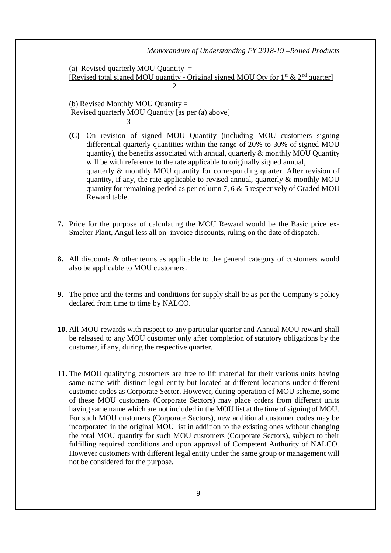#### *Memorandum of Understanding FY 2018-19 –Rolled Products*

(a) Revised quarterly MOU Quantity  $=$ [Revised total signed MOU quantity - Original signed MOU Qty for  $1^{\text{st}}$  &  $2^{\text{nd}}$  quarter]  $\mathcal{D}$ 

(b) Revised Monthly MOU Quantity = Revised quarterly MOU Quantity [as per (a) above] 3

- **(C)** On revision of signed MOU Quantity (including MOU customers signing differential quarterly quantities within the range of 20% to 30% of signed MOU quantity), the benefits associated with annual, quarterly  $\&$  monthly MOU Quantity will be with reference to the rate applicable to originally signed annual, quarterly & monthly MOU quantity for corresponding quarter. After revision of quantity, if any, the rate applicable to revised annual, quarterly  $\&$  monthly MOU quantity for remaining period as per column 7, 6  $\&$  5 respectively of Graded MOU Reward table.
- **7.** Price for the purpose of calculating the MOU Reward would be the Basic price ex-Smelter Plant, Angul less all on–invoice discounts, ruling on the date of dispatch.
- **8.** All discounts & other terms as applicable to the general category of customers would also be applicable to MOU customers.
- **9.** The price and the terms and conditions for supply shall be as per the Company's policy declared from time to time by NALCO.
- **10.** All MOU rewards with respect to any particular quarter and Annual MOU reward shall be released to any MOU customer only after completion of statutory obligations by the customer, if any, during the respective quarter.
- **11.** The MOU qualifying customers are free to lift material for their various units having same name with distinct legal entity but located at different locations under different customer codes as Corporate Sector. However, during operation of MOU scheme, some of these MOU customers (Corporate Sectors) may place orders from different units having same name which are not included in the MOU list at the time of signing of MOU. For such MOU customers (Corporate Sectors), new additional customer codes may be incorporated in the original MOU list in addition to the existing ones without changing the total MOU quantity for such MOU customers (Corporate Sectors), subject to their fulfilling required conditions and upon approval of Competent Authority of NALCO. However customers with different legal entity under the same group or management will not be considered for the purpose.